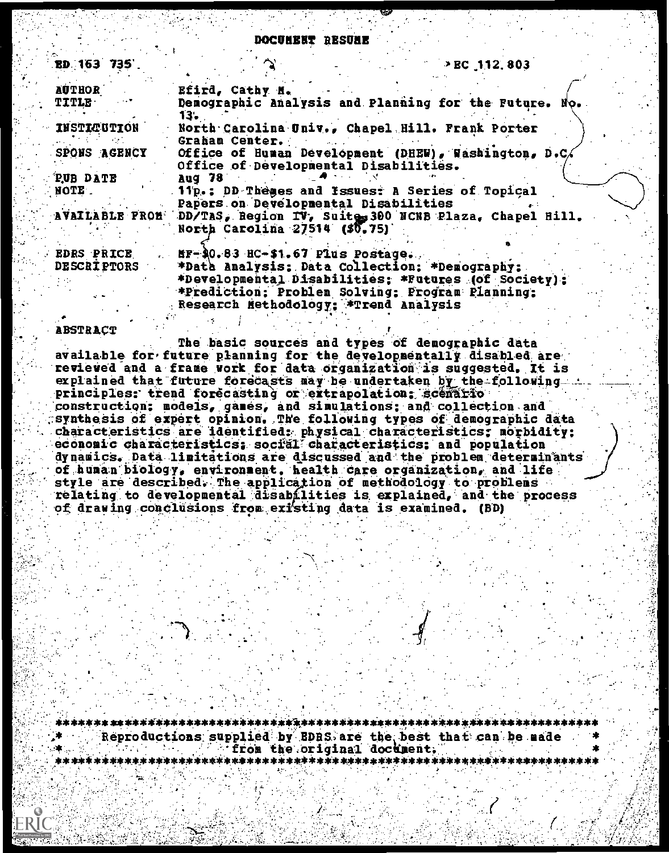DOCUNERT RESUNE

| ED 163 735        | $\rightarrow$ EC 112, 803                                            |
|-------------------|----------------------------------------------------------------------|
| <b>AUTHOR</b>     | . Efird, Cathy M.                                                    |
| <b>TITLE</b>      | Demographic Analysis and Planning for the Future. No.                |
|                   | 13.                                                                  |
| INSTICUTION       | North Carolina Univ., Chapel Hill. Frank Porter                      |
|                   | Graham Center.                                                       |
| SPONS AGENCY      | Office of Human Development (DHEW), Washington, D.C.                 |
|                   | Office of Developmental Disabilities.                                |
| PUB DATE          | Aug 78                                                               |
| NOTE.             | 11p.; DD Themes and Issues: A Series of Topical                      |
|                   | Papers on Developmental Disabilities                                 |
|                   | AVAILABLE FROM DD/TAS, Region IV, Suite 300 NCNB Plaza, Chapel Hill, |
|                   | North Carolina 27514 (\$0.75)                                        |
|                   |                                                                      |
| <b>EDRS PRICE</b> | $\texttt{MF-30.83}$ HC-\$1.67 Plus Postage.                          |
|                   |                                                                      |
| DESCRIPTORS       | *Data Analysis: Data Collection: *Demography:                        |
|                   | *Developmental Disabilities; *Futures (of Society);                  |
|                   | *Prediction: Problem Solving: Program Planning:                      |
|                   | Research Methodology; *Trend Analysis                                |

#### **ABSTRACT**

The basic sources and types of demographic data available for future planning for the developmentally disabled are revieved and a frame work for data organization is suggested. It is explained that future forecasts may be undertaken by the followingprinciples: trend forecasting or extrapolation; scenario construction; models, games, and simulations; and collection and synthesis of expert opinion. The following types of demographic data characteristics are identified: physical characteristics; morbidity; economic characteristics; social characteristics; and population dynamics. Data limitations are discussed and the problem determinants of human biology, environment, health care organization, and life style are described. The application of methodology to problems relating to developmental disabilities is explained, and the process of drawing conclusions from existing data is examined. (BD)

Reproductions supplied by EDRS are the best that can be made from the original document.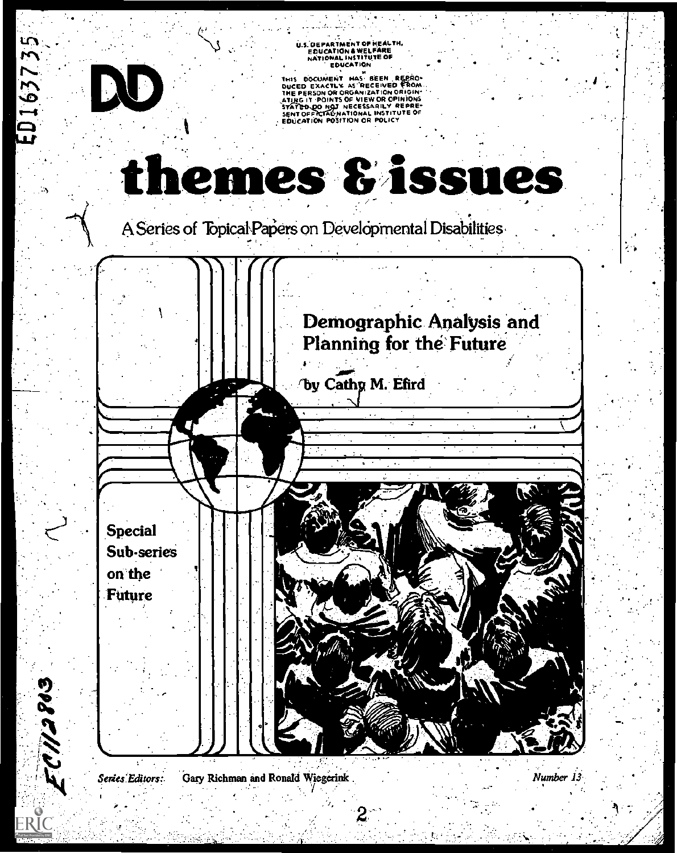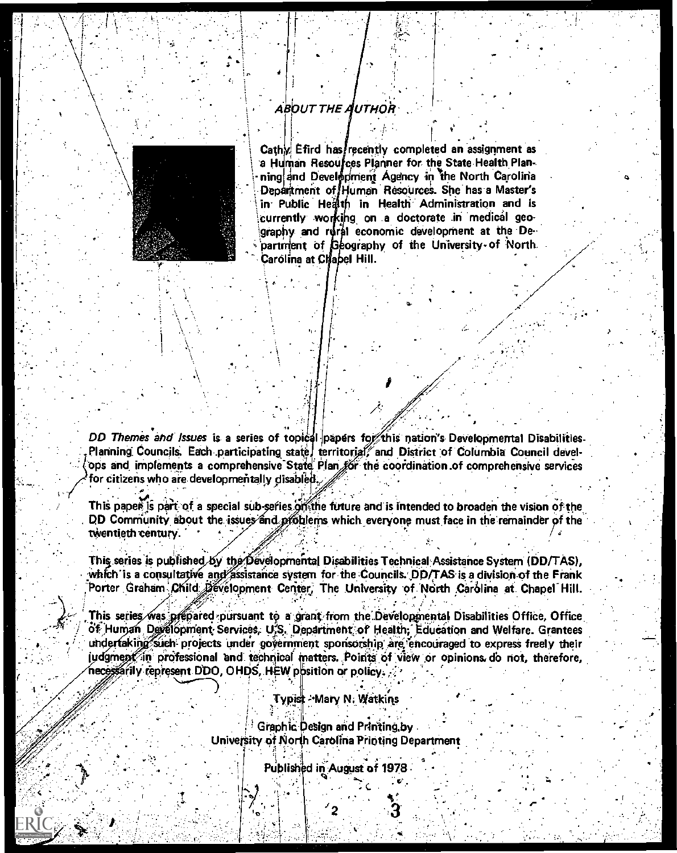## ABOUT THE AUTHOR



Cathy Efird has recently completed an assignment as a Human Resources Planner for the State Health Planning and Development Agency in the North Carolina Department of Human Resources. She has a Master's in Public Health in Health Administration and is currently working on a doctorate in medical geography and rural economic development at the Department of Geography of the University of North Carolina at Chabel Hill.

DD Themes and Issues is a series of topical papers for this nation's Developmental Disabilities. Planning Councils. Each participating state, territorial, and District of Columbia Council develops and implements a comprehensive State Plan for the coordination of comprehensive services for citizens who are developmentally disabled.

This paper is part of a special sub-series of the future and is intended to broaden the vision of the DD Community about the issues and problems which everyone must face in the remainder of the twentieth century.

This series is published by the Developmental Disabilities Technical Assistance System (DD/TAS). which is a consultative and assistance system for the Councils. DD/TAS is a division of the Frank Porter Graham Child Development Center, The University of North Carolina at Chapel Hill.

This series was prepared pursuant to a grant from the Developmental Disabilities Office, Office of Human Development Services, U.S. Department of Health, Education and Welfare. Grantees undertaking such projects under government sponsorship are encouraged to express freely their judgment in professional and technical matters. Points of view or opinions do not, therefore, necessarily represent DDO, OHDS, HEW position or policy.

Typist - Mary N. Watkins

Graphic Design and Printing by University of North Carolina Printing Department

Published in August of 1978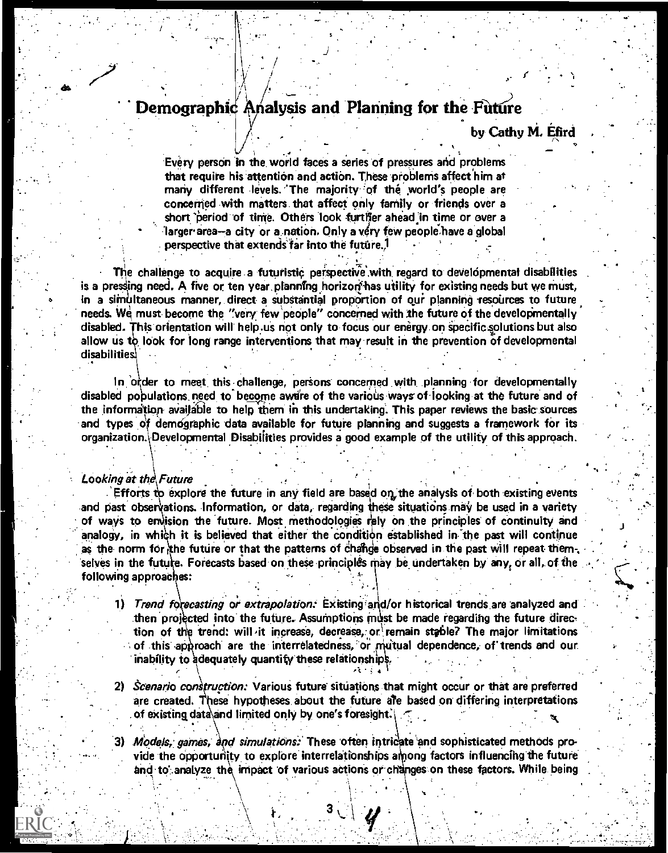# Demographic Analysis and Planning for the Future

## by Cathy M. Efird

Every person in the world faces a series of pressures and problems that require his attention and action. These problems affect him at many different levels. The majority of the world's people are concerned with matters that affect only family or friends over a short period of time. Others look further ahead in time or over a larger area-a city or a nation. Only a very few people have a global perspective that extends far into the future.<sup>1</sup>

The challenge to acquire a futuristic perspective with regard to developmental disabilities is a pressing need. A five or ten year planning horizon has utility for existing needs but we must, in a simultaneous manner, direct a substantial proportion of our planning resources to future needs. We must become the "very few people" concerned with the future of the developmentally disabled. This orientation will help us not only to focus our energy on specific solutions but also allow us to look for long range interventions that may result in the prevention of developmental disabilities.

In order to meet this challenge, persons concerned with planning for developmentally disabled populations need to become aware of the various ways of looking at the future and of the information available to help them in this undertaking. This paper reviews the basic sources and types of demographic data available for future planning and suggests a framework for its organization. Developmental Disabilities provides a good example of the utility of this approach.

#### **Looking at the Future**

FRI(

. Efforts to explore the future in any field are based on the analysis of both existing events and past observations. Information, or data, regarding these situations may be used in a variety of ways to envision the future. Most methodologies rely on the principles of continuity and analogy, in which it is believed that either the condition established in the past will continue as the norm for the future or that the patterns of change observed in the past will repeat them. selves in the future. Forecasts based on these principles may be undertaken by any, or all, of the following approaches:

1) Trend forecasting or extrapolation: Existing and/or historical trends are analyzed and then projected into the future. Assumptions must be made regarding the future direction of the trend: will it increase, decrease, or remain stable? The major limitations of this approach are the interrelatedness, or mutual dependence, of trends and our inability to adequately quantity these relationships

2) Scenario construction: Various future situations that might occur or that are preferred are created. These hypotheses about the future are based on differing interpretations of existing data and limited only by one's foresight.

3) Models, games, and simulations. These often intricate and sophisticated methods provide the opportunity to explore interrelationships among factors influencing the future and to analyze the impact of various actions or changes on these factors. While being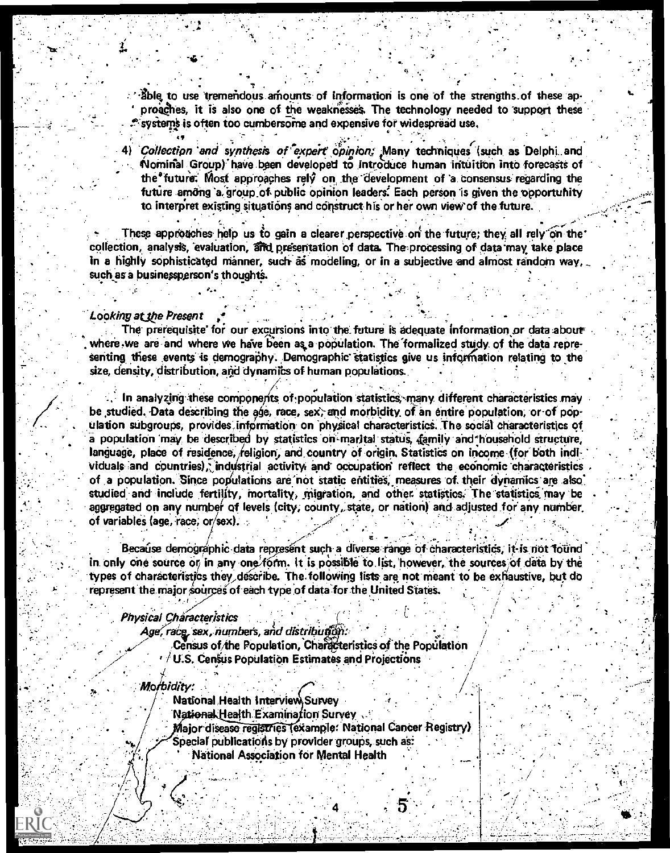Bole to use tremendous amounts of information is one of the strengths of these approaghes, it is also one of the weaknesses. The technology needed to support these systems is often too cumbersome and expensive for widespread use.

4) *Collection and synthesis of expert opinion; Many techniques (such as Delphi and* Nominal Group) have been developed to introduce human intuition into forecasts of the future. Most approaches rely on the development of a consensus regarding the future among a group of public opinion leaders. Each person is given the opportunity to interpret existing situations and construct his or her own view of the future.

These approaches help us to gain a clearer perspective on the future; they all rely on the collection, analysis, evaluation, and presentation of data. The processing of data may take place in a highly sophisticated manner, such as modeling, or in a subjective and almost random way, such as a businessperson's thoughts.

#### Looking at the Present

The prerequisite for our excursions into the future is adequate information or data about where we are and where we have been as a population. The formalized study of the data representing these events is demography. Demographic statistics give us information relating to the size, density, distribution, and dynamics of human populations.

In analyzing these components of population statistics, many different characteristics may be studied. Data describing the age, race, sex, and morbidity of an entire population, or of population subgroups, provides information on physical characteristics. The social characteristics of a population may be described by statistics on marital status, family and household structure, language, place of residence, religion, and country of origin. Statistics on income (for both individuals and countries), industrial activity and occupation reflect the economic characteristics of a population. Since populations are not static entities, measures of their dynamics are also studied and include fertility, mortality, migration, and other statistics. The statistics may be aggregated on any number of levels (city, county, state, or nation) and adjusted for any number of variables (age, race, or/sex).

Because demographic data represent such a diverse range of characteristics, it is not found in only one source or in any one form. It is possible to list, however, the sources of data by the types of characteristics they describe. The following lists are not meant to be exhaustive, but do represent the major sources of each type of data for the United States.

#### Physical Characteristics

Age, race, sex, numbers, and distribution:

Census of the Population, Characteristics of the Population  $\sqrt{U.S.}$  Census Population Estimates and Projections

#### Morbidity:

National Health Interview Survey

National Health Examination Survey

Maior disease registries (example: National Cancer Registry)

Special publications by provider groups, such as:

National Association for Mental Health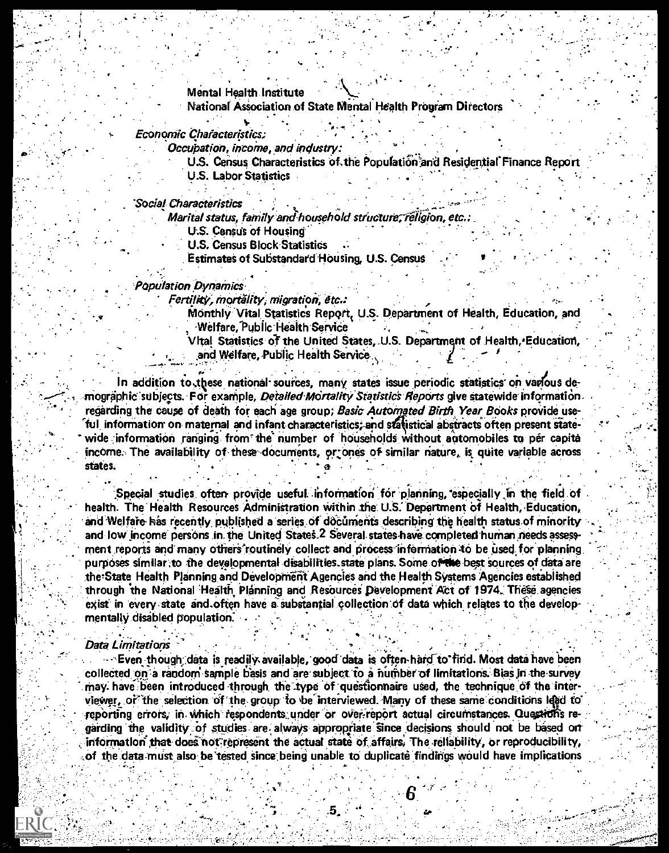## Mental Health Institute

National Association of State Mental Health Program Directors

#### Economic Characteristics:

Occubation, income, and industry:

U.S. Census Characteristics of the Population and Residential Finance Report

**U.S. Labor Statistics** 

Social Characteristics

Marital status, family and household structure, religion, etc.:

U.S. Census of Housing

**U.S. Census Block Statistics** 

**Estimates of Substandard Housing, U.S. Census** 

#### **Population Dynamics**

Fertility, mortálity, migration, etc.:

Monthly Vital Statistics Report, U.S. Department of Health, Education, and **Welfare, Public Health Service** 

Vital Statistics of the United States, U.S. Department of Health, Education, and Welfare, Public Health Service

In addition to these national sources, many states issue periodic statistics on various demographic subjects. For example, Detailed Mortality Statistics Reports give statewide information regarding the cause of death for each age group; Basic Automated Birth Year Books provide useful information on maternal and infant characteristics; and statistical abstracts often present statewide information ranging from the number of households without automobiles to per capita income. The availability of these documents, or ones of similar nature, is quite variable across states.

Special studies often provide useful information for planning especially in the field of health. The Health Resources Administration within the U.S. Department of Health, Education, and Welfare has recently published a series of documents describing the health status of minority and low income persons in the United States.<sup>2</sup> Several states have completed human needs assessment reports and many others routinely collect and process information to be used for planning purposes similar to the developmental disabilities state plans. Some of the best sources of data are the State Health Planning and Development Agencies and the Health Systems Agencies established through the National Health Planning and Resources Development Act of 1974. These agencies exist in every state and often have a substantial collection of data which relates to the developmentally disabled population.

#### **Data Limitations**

Even though data is readily available, good data is often hard to find. Most data have been collected on a random sample basis and are subject to a number of limitations. Bias in the survey may have been introduced through the type of questionnaire used, the technique of the interviewer, or the selection of the group to be interviewed. Many of these same conditions lead to reporting errors, in which respondents under or over-report actual circumstances. Questions regarding the validity of studies are always appropriate since decisions should not be based on information that does not represent the actual state of affairs. The reliability, or reproducibility, of the data must also be tested since being unable to duplicate findings would have implications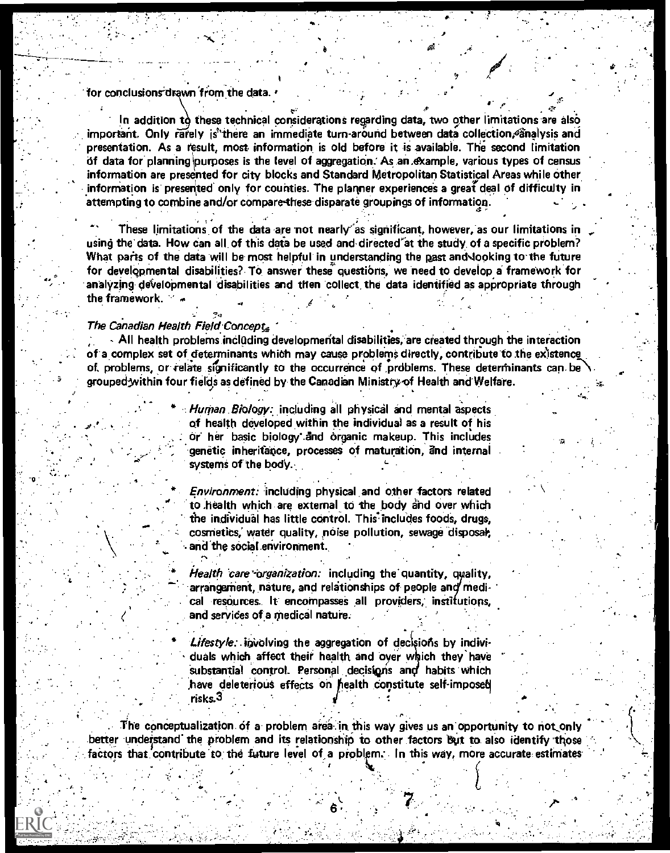### for conclusions drawn from the data.

In addition to these technical considerations regarding data, two other limitations are also important. Only rarely is there an immediate turn around between data collection, analysis and presentation. As a result, most information is old before it is available. The second limitation of data for planning purposes is the level of aggregation. As an example, various types of census information are presented for city blocks and Standard Metropolitan Statistical Areas while other information is presented only for counties. The planner experiences a great deal of difficulty in attempting to combine and/or compare these disparate groupings of information.

These limitations of the data are not nearly as significant, however, as our limitations in using the data. How can all of this data be used and directed at the study of a specific problem? What parts of the data will be most helpful in understanding the past and looking to the future for developmental disabilities? To answer these questions, we need to develop a framework for analyzing developmental disabilities and then collect the data identified as appropriate through the framework.

#### The Canadian Health Field Concept,

All health problems including developmental disabilities, are created through the interaction of a complex set of determinants which may cause problems directly, contribute to the existence of problems, or relate significantly to the occurrence of problems. These determinants can be grouped within four fields as defined by the Canadian Ministry of Health and Welfare.

> Human Biology: including all physical and mental aspects of health developed within the individual as a result of his or her basic biology and organic makeup. This includes genetic inheritance, processes of maturation, and internal systems of the body.

> Environment: including physical and other factors related to health which are external to the body and over which the individual has little control. This includes foods, drugs, cosmetics, water quality, noise pollution, sewage disposal, and the social environment.

> Health care organization: including the quantity, quality, arrangement, nature, and relationships of people and medical resources. It encompasses all providers, institutions, and services of a medical nature.

> Lifestyle: involving the aggregation of decisions by individuals which affect their health and over which they have substantial control. Personal decisions and habits which have deleterious effects on health constitute self-imposed risks.3

The conceptualization of a problem area in this way gives us an opportunity to not only better understand the problem and its relationship to other factors but to also identify those factors that contribute to the future level of a problem. In this way, more accurate estimates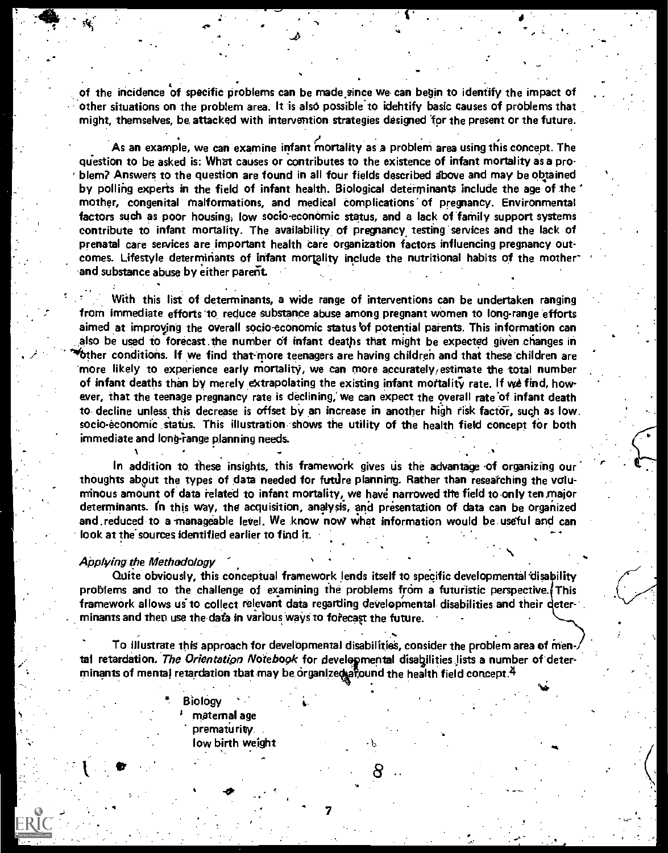of the incidence of specific problems can be made since we can begin to identify the impact of other situations on the problem area. It is also possible"to idehtify basic causes of problems that might, themselves, be, attacked with intervention strategies designed for the present or the future.

.40

As an example, we can examine infant mortality as a problem area using this concept. The question to be asked is: What causes or contributes to the existence of infant mortality as a pro- . blem? Answers to the question are found in all four fields described above and may be obtained by Polling experts in the field of infant health. Biological determinants include the age of the mother, congenital' malformations, and medical Complications of pregnancy. Environmental factors such as poor housing, low socio-economic status, and a lack of 'family support systems contribute to infant mortality. The availability. of pregnancy, testing 'services and the lack of prenatal care services are important health care organization factors influencing pregnancy outcomes. Lifestyle determinants of infant mortality include the nutritional habits of the motherand substance abuse by either parent.

With this list of determinants, a wide range of interventions can be undertaken ranging from immediate efforts 'to reduce substance abuse among pregnant women to long-range 'efforts aimed at improving the overall socio-economic status of potential parents. This information can also be used to forecast the number of infant deaths that might be expected given changes in  $\epsilon$  ther conditions. If we find that more teenagers are having children and that these children are more likely to experience early mortality, we can more accurately/estimate the total number of infant deaths than by merely extrapolating the existing infant mortality rate. If we find, however, that the teenage pregnancy rate is declining; we can expect the overall rate of infant death to decline unless this decrease is offset by an increase in another high risk factor, such as low. socio-économic status. This illustration shows the utility of the health field concept for both immediate and long-range planning needs.

In addition to these insights, this framework gives us the advantage of organizing our thoughts about the types of data needed for futtlre planning. Rather than reseatching the voluminous amount of data related to infant mortality, we have narrowed the field toonly ten.major determinants. In this way, the acquisition, analysis, and presentation of data can be organized and reduced to a manageable level. We know now what information would be useful and can look at the sources identified earlier to find it.

#### Applying the Methodology

Quite obviously, this conceptual framework lends itself to specific developmental disability problems and to the challenge of examining the problems from a futuristic perspective. This framework allows us to collect relevant data regarding developmental-disabilities and their determinants and then use the data in various ways to forecast the future.

To illustrate this approach for developmental disabilities, consider the problem area of men tal retardation. The Orientation Notebook for developmental disabilities lists a number of determinants of mental retardation that may be organized afound the health field concept.  $4$ 

> **Biology** maternal age prematurity. low birth weight

, which is a set of  $\mathcal{L} = \{0, 0\}$  , which is a set of  $\mathcal{L} = \{0, 0\}$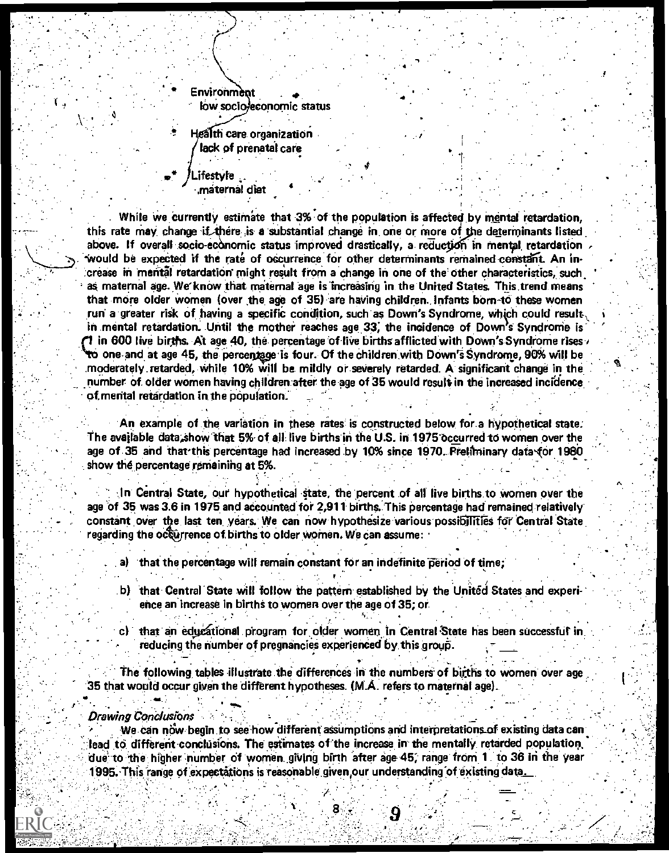Environment low socio/economic status Health care organization lack of prenatal care

.ifestyle maternal diet.

While we currently estimate that 3% of the population is affected by mental retardation. this rate may change if there is a substantial change in one or more of the determinants listed above. If overall socio-economic status improved drastically, a reduction in mental retardation would be expected if the rate of occurrence for other determinants remained constant. An increase in mental retardation might result from a change in one of the other characteristics, such as maternal age. We know that maternal age is increasing in the United States. This trend means that more older women (over the age of 35) are having children. Infants born to these women run a greater risk of having a specific condition, such as Down's Syndrome, which could result, in mental retardation. Until the mother reaches age 33, the incidence of Down's Syndrome is 1 in 600 live births. At age 40, the percentage of live births afflicted with Down's Syndrome rises to one and at age 45, the percentage is four. Of the children with Down's Syndrome, 90% will be moderately retarded, while 10% will be mildly or severely retarded. A significant change in the number of older women having children after the age of 35 would result in the increased incidence of mental retardation in the population.

An example of the variation in these rates is constructed below for a hypothetical state. The available data show that 5% of all live births in the U.S. in 1975 occurred to women over the age of 35 and that this percentage had increased by 10% since 1970. Preliminary data (or 1980 show the percentage remaining at 5%.

In Central State, our hypothetical state, the percent of all live births to women over the age of 35 was 3.6 in 1975 and accounted for 2,911 births. This percentage had remained relatively constant over the last ten years. We can now hypothesize various possibilities for Central State regarding the occurrence of births to older women. We can assume:

a) that the percentage will remain constant for an indefinite period of time;

- b) that Central State will follow the pattern established by the United States and experience an increase in births to women over the age of 35; or
- c) that an educational program for older women in Central State has been successful in reducing the number of pregnancies experienced by this group.

The following tables illustrate the differences in the numbers of births to women over age 35 that would occur given the different hypotheses. (M.A. refers to maternal age).

#### Drawing Conclusions

We can now begin to see how different assumptions and interpretations of existing data can lead to different conclusions. The estimates of the increase in the mentally retarded population. due to the higher number of women giving birth after age 45, range from 1 to 36 in the year 1995. This range of expectations is reasonable given our understanding of existing data.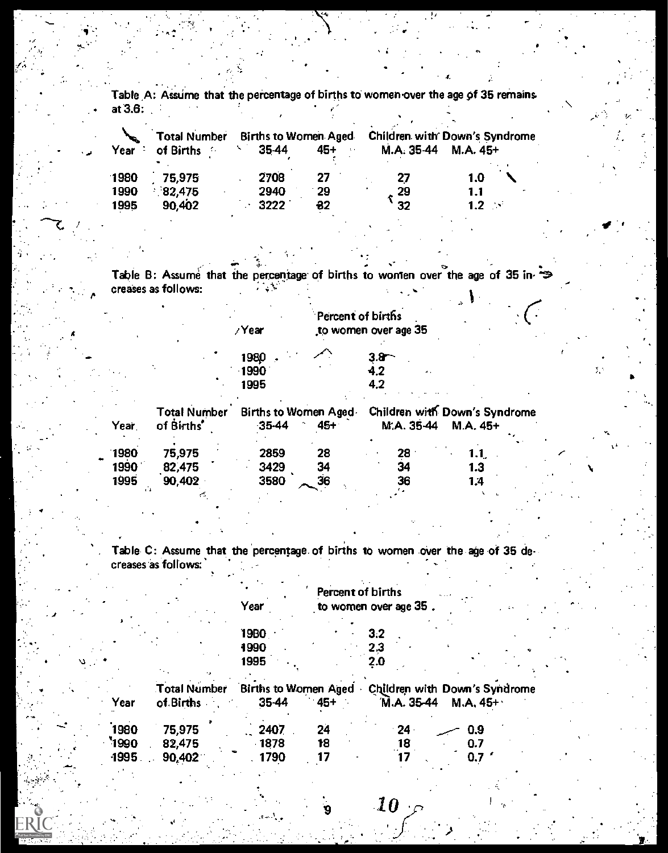Table A: Assume that the percentage of births to women over the age of 35 remains at  $3.6:$ 

|        | <b>Total Number</b> | <b>Births to Women Aged</b> |                 | Children with Down's Syndrome |                   |  |
|--------|---------------------|-----------------------------|-----------------|-------------------------------|-------------------|--|
| Year : | of Births<br>- 17   | 35-44                       | $45+$<br>$-111$ | M.A. 35-44                    | M.A. 45+          |  |
| 1980   | 75,975              | 2708                        | 27              | 27                            | 1.0               |  |
| 1990   | 82,475              | 2940                        | -29             | 29                            | 1.1               |  |
| 1995   | 90,402              | 3222                        | $-32$           | 32                            | $1.2 \rightarrow$ |  |

Table B: Assume that the percentage of births to women over the age of 35 increases as follows:  $\mathcal{L}^{\text{max}}$ k.

|                                   | yYear                               |     | Percent of births<br>to women over age 35 |                                           |
|-----------------------------------|-------------------------------------|-----|-------------------------------------------|-------------------------------------------|
|                                   | 1980                                |     | 3.8                                       |                                           |
|                                   | $-1990$                             |     | 4.2                                       |                                           |
|                                   | 1995                                |     | 4.2                                       |                                           |
| <b>Total Number</b><br>of Births' | Births to Women Aged.<br>$-35 - 44$ | 45+ | M.A. 35-44                                | Children with Down's Syndrome<br>M.A. 45+ |

| 1980 | 75,975 | 2859 | 28 | 28 | 1.1 <sub>1</sub> |
|------|--------|------|----|----|------------------|
| 1990 | 82,475 | 3429 | 34 | 34 | 1.3              |
| 1995 | 90,402 | 3580 | 36 | 36 | 1.4              |
|      |        |      |    |    |                  |

Year,

Table C: Assume that the percentage of births to women over the age of 35 decreases as follows:

|      |                                  | Year                                 | Percent of births | to women over age 35                        |           |  |
|------|----------------------------------|--------------------------------------|-------------------|---------------------------------------------|-----------|--|
|      |                                  | 19BO<br>1990                         |                   | 3.2<br>2.3                                  |           |  |
|      |                                  | 1995                                 |                   | 2.0                                         |           |  |
| Year | <b>Total Number</b><br>of Births | <b>Births to Women Aged</b><br>35-44 | $45 +$            | Children with Down's Syndrome<br>M.A. 35-44 | $M.A.45+$ |  |
| 1980 | 75,975                           | 2407                                 | 24                | $24 \cdot$                                  | 0.9       |  |
| 1990 | 82,475                           | $-1878$                              | 18                | 18                                          | 0.7       |  |
| 1995 | 90,402                           | 1790                                 |                   |                                             | U.        |  |

 $\overline{\bf 10}$